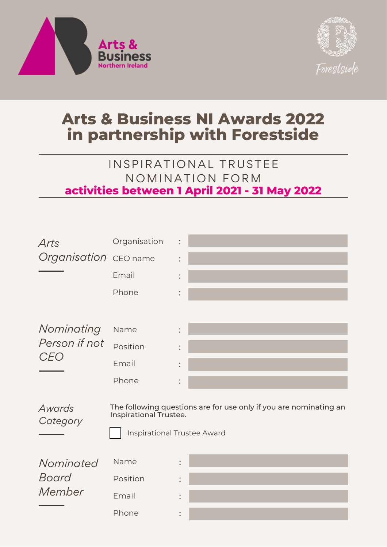



## **Arts & Business NI Awards 2022 in partnership with Forestside**

## IN SPIRATIONAL TRUSTEE NOMINATION FORM **activities between 1 April 2021 - 31 May 2022**



*Awards Category* The following questions are for use only if you are nominating an Inspirational Trustee.

Inspirational Trustee Award

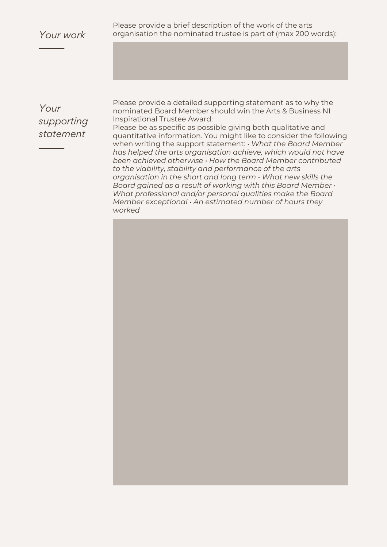Please provide a brief description of the work of the arts *Your work* organisation the nominated trustee is part of (max 200 words):

*Your supporting statement*

Please provide a detailed supporting statement as to why the nominated Board Member should win the Arts & Business NI Inspirational Trustee Award:

Please be as specific as possible giving both qualitative and quantitative information. You might like to consider the following when writing the support statement: *• What the Board Member has helped the arts organisation achieve, which would not have been achieved otherwise • How the Board Member contributed to the viability, stability and performance of the arts organisation in the short and long term • What new skills the Board gained as a result of working with this Board Member • What professional and/or personal qualities make the Board Member exceptional • An estimated number of hours they worked*